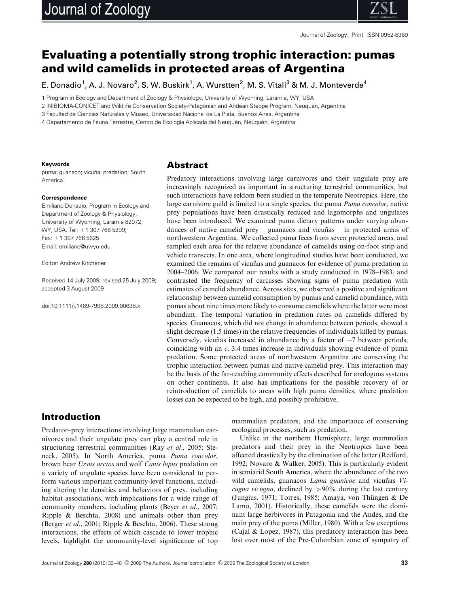

# Evaluating a potentially strong trophic interaction: pumas and wild camelids in protected areas of Argentina

E. Donadio<sup>1</sup>, A. J. Novaro<sup>2</sup>, S. W. Buskirk<sup>1</sup>, A. Wurstten<sup>2</sup>, M. S. Vitali<sup>3</sup> & M. J. Monteverde<sup>4</sup>

1 Program in Ecology and Department of Zoology & Physiology, University of Wyoming, Laramie, WY, USA

2 INIBIOMA-CONICET and Wildlife Conservation Society-Patagonian and Andean Steppe Program, Neuquén, Argentina

3 Facultad de Ciencias Naturales y Museo, Universidad Nacional de La Plata, Buenos Aires, Argentina

4 Departamento de Fauna Terrestre, Centro de Ecología Aplicada del Neuguén, Neuguén, Argentina

#### **Keywords**

puma; guanaco; vicuña; predation; South America.

#### **Correspondence**

Emiliano Donadio, Program in Ecology and Department of Zoology & Physiology, University of Wyoming, Laramie 82072, WY, USA. Tel: +1 307 766 5299; Fax: +1 307 766 5625 Email: [emiliano@uwyo.edu](mailto:emiliano@uwyo.edu)

Editor: Andrew Kitchener

Received 14 July 2009; revised 25 July 2009; accepted 3 August 2009

doi:10.1111/j.1469-7998.2009.00638.x

#### Abstract

Predatory interactions involving large carnivores and their ungulate prey are increasingly recognized as important in structuring terrestrial communities, but such interactions have seldom been studied in the temperate Neotropics. Here, the large carnivore guild is limited to a single species, the puma Puma concolor, native prey populations have been drastically reduced and lagomorphs and ungulates have been introduced. We examined puma dietary patterns under varying abundances of native camelid prey – guanacos and vicuñas – in protected areas of northwestern Argentina. We collected puma feces from seven protected areas, and sampled each area for the relative abundance of camelids using on-foot strip and vehicle transects. In one area, where longitudinal studies have been conducted, we examined the remains of vicuñas and guanacos for evidence of puma predation in 2004–2006. We compared our results with a study conducted in 1978–1983, and contrasted the frequency of carcasses showing signs of puma predation with estimates of camelid abundance. Across sites, we observed a positive and significant relationship between camelid consumption by pumas and camelid abundance, with pumas about nine times more likely to consume camelids where the latter were most abundant. The temporal variation in predation rates on camelids differed by species. Guanacos, which did not change in abundance between periods, showed a slight decrease (1.5 times) in the relative frequencies of individuals killed by pumas. Conversely, vicuñas increased in abundance by a factor of  $\sim$ 7 between periods, coinciding with an c. 3.4 times increase in individuals showing evidence of puma predation. Some protected areas of northwestern Argentina are conserving the trophic interaction between pumas and native camelid prey. This interaction may be the basis of the far-reaching community effects described for analogous systems on other continents. It also has implications for the possible recovery of or reintroduction of camelids to areas with high puma densities, where predation losses can be expected to be high, and possibly prohibitive.

# Introduction

Predator–prey interactions involving large mammalian carnivores and their ungulate prey can play a central role in structuring terrestrial communities (Ray et al., 2005; Steneck, 2005). In North America, puma Puma concolor, brown bear Ursus arctos and wolf Canis lupus predation on a variety of ungulate species have been considered to perform various important community-level functions, including altering the densities and behaviors of prey, including habitat associations, with implications for a wide range of community members, including plants (Beyer et al., 2007; Ripple & Beschta, 2008) and animals other than prey (Berger et al., 2001; Ripple & Beschta, 2006). These strong interactions, the effects of which cascade to lower trophic levels, highlight the community-level significance of top mammalian predators, and the importance of conserving ecological processes, such as predation.

Unlike in the northern Hemisphere, large mammalian predators and their prey in the Neotropics have been affected drastically by the elimination of the latter (Redford, 1992; Novaro & Walker, 2005). This is particularly evident in semiarid South America, where the abundance of the two wild camelids, guanacos  $Lama$  guanicoe and vicuñas  $Vi$ cugna vicugna, declined by  $> 90\%$  during the last century (Jungius, 1971; Torres, 1985; Amaya, von Thüngen & De Lamo, 2001). Historically, these camelids were the dominant large herbivores in Patagonia and the Andes, and the main prey of the puma (Miller, 1980). With a few exceptions (Cajal & Lopez, 1987), this predatory interaction has been lost over most of the Pre-Columbian zone of sympatry of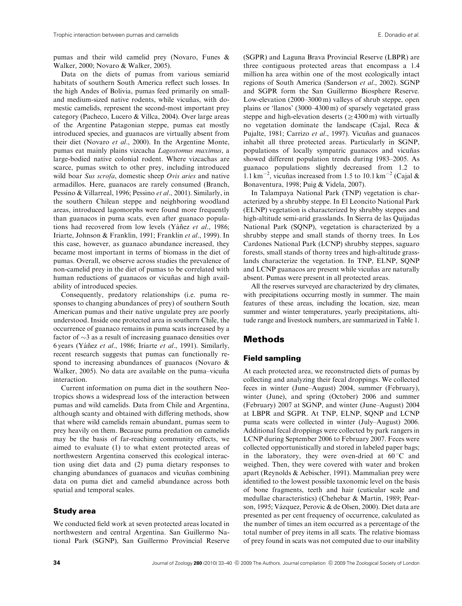pumas and their wild camelid prey (Novaro, Funes & Walker, 2000; Novaro & Walker, 2005).

Data on the diets of pumas from various semiarid habitats of southern South America reflect such losses. In the high Andes of Bolivia, pumas feed primarily on smalland medium-sized native rodents, while vicuñas, with domestic camelids, represent the second-most important prey category (Pacheco, Lucero & Villca, 2004). Over large areas of the Argentine Patagonian steppe, pumas eat mostly introduced species, and guanacos are virtually absent from their diet (Novaro et al., 2000). In the Argentine Monte, pumas eat mainly plains vizcacha Lagostomus maximus, a large-bodied native colonial rodent. Where vizcachas are scarce, pumas switch to other prey, including introduced wild boar Sus scrofa, domestic sheep Ovis aries and native armadillos. Here, guanacos are rarely consumed (Branch, Pessino & Villarreal, 1996; Pessino et al., 2001). Similarly, in the southern Chilean steppe and neighboring woodland areas, introduced lagomorphs were found more frequently than guanacos in puma scats, even after guanaco populations had recovered from low levels (Yáñez et al., 1986; Iriarte, Johnson & Franklin, 1991; Franklin et al., 1999). In this case, however, as guanaco abundance increased, they became most important in terms of biomass in the diet of pumas. Overall, we observe across studies the prevalence of non-camelid prey in the diet of pumas to be correlated with human reductions of guanacos or vicuñas and high availability of introduced species.

Consequently, predatory relationships (i.e. puma responses to changing abundances of prey) of southern South American pumas and their native ungulate prey are poorly understood. Inside one protected area in southern Chile, the occurrence of guanaco remains in puma scats increased by a factor of  ${\sim}3$  as a result of increasing guanaco densities over 6 years (Yáñez et al., 1986; Iriarte et al., 1991). Similarly, recent research suggests that pumas can functionally respond to increasing abundances of guanacos (Novaro & Walker, 2005). No data are available on the puma–vicuña interaction.

Current information on puma diet in the southern Neotropics shows a widespread loss of the interaction between pumas and wild camelids. Data from Chile and Argentina, although scanty and obtained with differing methods, show that where wild camelids remain abundant, pumas seem to prey heavily on them. Because puma predation on camelids may be the basis of far-reaching community effects, we aimed to evaluate (1) to what extent protected areas of northwestern Argentina conserved this ecological interaction using diet data and (2) puma dietary responses to changing abundances of guanacos and vicuñas combining data on puma diet and camelid abundance across both spatial and temporal scales.

#### Study area

We conducted field work at seven protected areas located in northwestern and central Argentina. San Guillermo National Park (SGNP), San Guillermo Provincial Reserve (SGPR) and Laguna Brava Provincial Reserve (LBPR) are three contiguous protected areas that encompass a 1.4 million ha area within one of the most ecologically intact regions of South America (Sanderson et al., 2002). SGNP and SGPR form the San Guillermo Biosphere Reserve. Low-elevation (2000–3000 m) valleys of shrub steppe, open plains or 'llanos' (3000–4300 m) of sparsely vegetated grass steppe and high-elevation deserts ( $\geq$ 4300 m) with virtually no vegetation dominate the landscape (Cajal, Reca & Pujalte, 1981; Carrizo et al., 1997). Vicuñas and guanacos inhabit all three protected areas. Particularly in SGNP, populations of locally sympatric guanacos and vicuñas showed different population trends during 1983–2005. As guanaco populations slightly decreased from 1.2 to 1.1 km<sup>-2</sup>, vicuñas increased from 1.5 to 10.1 km<sup>-2</sup> (Cajal & Bonaventura, 1998; Puig & Videla, 2007).

In Talampaya National Park (TNP) vegetation is characterized by a shrubby steppe. In El Leoncito National Park (ELNP) vegetation is characterized by shrubby steppes and high-altitude semi-arid grasslands. In Sierra de las Quijadas National Park (SQNP), vegetation is characterized by a shrubby steppe and small stands of thorny trees. In Los Cardones National Park (LCNP) shrubby steppes, saguaro forests, small stands of thorny trees and high-altitude grasslands characterize the vegetation. In TNP, ELNP, SQNP and LCNP guanacos are present while vicuñas are naturally absent. Pumas were present in all protected areas.

All the reserves surveyed are characterized by dry climates, with precipitations occurring mostly in summer. The main features of these areas, including the location, size, mean summer and winter temperatures, yearly precipitations, altitude range and livestock numbers, are summarized in Table 1.

# Methods

#### Field sampling

At each protected area, we reconstructed diets of pumas by collecting and analyzing their fecal droppings. We collected feces in winter (June–August) 2004, summer (February), winter (June), and spring (October) 2006 and summer (February) 2007 at SGNP, and winter (June–August) 2004 at LBPR and SGPR. At TNP, ELNP, SQNP and LCNP puma scats were collected in winter (July–August) 2006. Additional fecal droppings were collected by park rangers in LCNP during September 2006 to February 2007. Feces were collected opportunistically and stored in labeled paper bags; in the laboratory, they were oven-dried at  $60^{\circ}$ C and weighed. Then, they were covered with water and broken apart (Reynolds & Aebischer, 1991). Mammalian prey were identified to the lowest possible taxonomic level on the basis of bone fragments, teeth and hair (cuticular scale and medullae characteristics) (Chehebar & Martin, 1989; Pearson, 1995; Vázquez, Perovic & de Olsen, 2000). Diet data are presented as per cent frequency of occurrence, calculated as the number of times an item occurred as a percentage of the total number of prey items in all scats. The relative biomass of prey found in scats was not computed due to our inability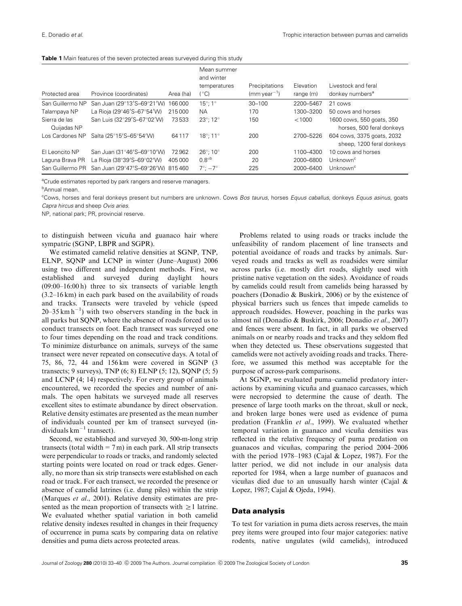|  |  |  |  |  |  |  |  |  | <b>Table 1</b> Main features of the seven protected areas surveyed during this study |  |
|--|--|--|--|--|--|--|--|--|--------------------------------------------------------------------------------------|--|
|--|--|--|--|--|--|--|--|--|--------------------------------------------------------------------------------------|--|

| Protected area               | Province (coordinates)                             | Area (ha) | Mean summer<br>and winter<br>temperatures<br>(°C) | Precipitations<br>$(mm \, year^{-1})$ | Elevation<br>range (m) | Livestock and feral<br>donkey numbers <sup>a</sup>      |
|------------------------------|----------------------------------------------------|-----------|---------------------------------------------------|---------------------------------------|------------------------|---------------------------------------------------------|
| San Guillermo NP             | San Juan (29°13'S-69°21'W) 166 000                 |           | $15^{\circ}$ : 1 $^{\circ}$                       | $30 - 100$                            | 2200-5467              | 21 cows                                                 |
| Talampaya NP                 | La Rioja (29°46'S-67°54'W)                         | 215000    | NA.                                               | 170                                   | 1300-3200              | 50 cows and horses                                      |
| Sierra de las<br>Quijadas NP | San Luis (32°29'S-67°02'W)                         | 73533     | $23^{\circ}$ ; 12 $^{\circ}$                      | 150                                   | < 1000                 | 1600 cows, 550 goats, 350<br>horses, 500 feral donkeys  |
| Los Cardones NP              | Salta (25°15'S-65°54'W)                            | 64117     | $18^{\circ}$ : 11 $^{\circ}$                      | 200                                   | 2700-5226              | 604 cows, 3375 goats, 2032<br>sheep, 1200 feral donkeys |
| El Leoncito NP               | San Juan (31°46'S-69°10'W)                         | 72962     | $26^{\circ}$ : 10 $^{\circ}$                      | 200                                   | 1100-4300              | 10 cows and horses                                      |
| Laguna Brava PR              | La Rioja (38°39'S-69°02'W)                         | 405000    | $0.8^\circ$                                       | 20                                    | 2000-6800              | Unknown <sup>c</sup>                                    |
|                              | San Guillermo PR San Juan (29°47'S-69°26'W) 815460 |           | $7^\circ$ : $-7^\circ$                            | 225                                   | 2000-6400              | Unknown <sup>c</sup>                                    |

<sup>a</sup>Crude estimates reported by park rangers and reserve managers.

<sup>b</sup>Annual mean.

<sup>c</sup>Cows, horses and feral donkeys present but numbers are unknown. Cows Bos taurus, horses Equus caballus, donkeys Equus asinus, goats Capra hircus and sheep Ovis aries.

NP, national park; PR, provincial reserve.

to distinguish between vicuña and guanaco hair where sympatric (SGNP, LBPR and SGPR).

We estimated camelid relative densities at SGNP, TNP, ELNP, SQNP and LCNP in winter (June–August) 2006 using two different and independent methods. First, we established and surveyed during daylight hours (09:00–16:00 h) three to six transects of variable length (3.2–16 km) in each park based on the availability of roads and tracks. Transects were traveled by vehicle (speed  $20-35$  km h<sup>-1</sup>) with two observers standing in the back in all parks but SQNP, where the absence of roads forced us to conduct transects on foot. Each transect was surveyed one to four times depending on the road and track conditions. To minimize disturbance on animals, surveys of the same transect were never repeated on consecutive days. A total of 75, 86, 72, 44 and 156 km were covered in SGNP (3 transects; 9 surveys), TNP (6; 8) ELNP (5; 12), SQNP (5; 5) and LCNP (4; 14) respectively. For every group of animals encountered, we recorded the species and number of animals. The open habitats we surveyed made all reserves excellent sites to estimate abundance by direct observation. Relative density estimates are presented as the mean number of individuals counted per km of transect surveyed (individuals  $km^{-1}$  transect).

Second, we established and surveyed 30, 500-m-long strip transects (total width  $= 7$  m) in each park. All strip transects were perpendicular to roads or tracks, and randomly selected starting points were located on road or track edges. Generally, no more than six strip transects were established on each road or track. For each transect, we recorded the presence or absence of camelid latrines (i.e. dung piles) within the strip (Marques *et al.*, 2001). Relative density estimates are presented as the mean proportion of transects with  $\geq 1$  latrine. We evaluated whether spatial variation in both camelid relative density indexes resulted in changes in their frequency of occurrence in puma scats by comparing data on relative densities and puma diets across protected areas.

Problems related to using roads or tracks include the unfeasibility of random placement of line transects and potential avoidance of roads and tracks by animals. Surveyed roads and tracks as well as roadsides were similar across parks (i.e. mostly dirt roads, slightly used with pristine native vegetation on the sides). Avoidance of roads by camelids could result from camelids being harassed by poachers (Donadio & Buskirk, 2006) or by the existence of physical barriers such us fences that impede camelids to approach roadsides. However, poaching in the parks was almost nil (Donadio & Buskirk, 2006; Donadio et al., 2007) and fences were absent. In fact, in all parks we observed animals on or nearby roads and tracks and they seldom fled when they detected us. These observations suggested that camelids were not actively avoiding roads and tracks. Therefore, we assumed this method was acceptable for the purpose of across-park comparisons.

At SGNP, we evaluated puma–camelid predatory interactions by examining vicuña and guanaco carcasses, which were necropsied to determine the cause of death. The presence of large tooth marks on the throat, skull or neck, and broken large bones were used as evidence of puma predation (Franklin et al., 1999). We evaluated whether temporal variation in guanaco and vicuña densities was reflected in the relative frequency of puma predation on guanacos and vicuñas, comparing the period  $2004-2006$ with the period 1978–1983 (Cajal & Lopez, 1987). For the latter period, we did not include in our analysis data reported for 1984, when a large number of guanacos and vicuñas died due to an unusually harsh winter (Cajal  $\&$ Lopez, 1987; Cajal & Ojeda, 1994).

#### Data analysis

To test for variation in puma diets across reserves, the main prey items were grouped into four major categories: native rodents, native ungulates (wild camelids), introduced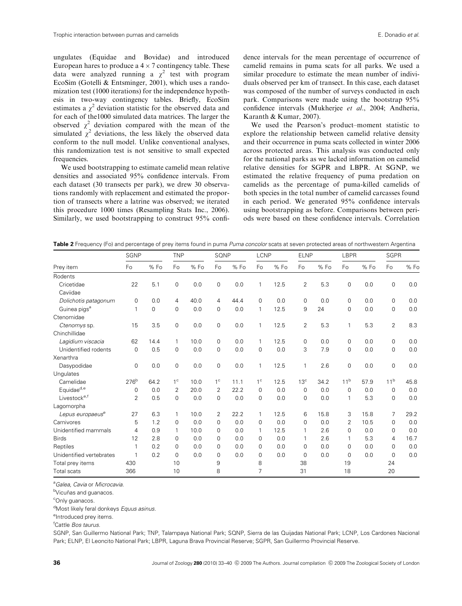ungulates (Equidae and Bovidae) and introduced European hares to produce a  $4 \times 7$  contingency table. These data were analyzed running a  $\chi^2$  test with program EcoSim (Gotelli & Entsminger, 2001), which uses a randomization test (1000 iterations) for the independence hypothesis in two-way contingency tables. Briefly, EcoSim estimates a  $\chi^2$  deviation statistic for the observed data and for each of the1000 simulated data matrices. The larger the observed  $\chi^2$  deviation compared with the mean of the simulated  $\chi^2$  deviations, the less likely the observed data conform to the null model. Unlike conventional analyses, this randomization test is not sensitive to small expected frequencies.

We used bootstrapping to estimate camelid mean relative densities and associated 95% confidence intervals. From each dataset (30 transects per park), we drew 30 observations randomly with replacement and estimated the proportion of transects where a latrine was observed; we iterated this procedure 1000 times (Resampling Stats Inc., 2006). Similarly, we used bootstrapping to construct 95% confidence intervals for the mean percentage of occurrence of camelid remains in puma scats for all parks. We used a similar procedure to estimate the mean number of individuals observed per km of transect. In this case, each dataset was composed of the number of surveys conducted in each park. Comparisons were made using the bootstrap 95% confidence intervals (Mukherjee et al., 2004; Andheria, Karanth & Kumar, 2007).

We used the Pearson's product–moment statistic to explore the relationship between camelid relative density and their occurrence in puma scats collected in winter 2006 across protected areas. This analysis was conducted only for the national parks as we lacked information on camelid relative densities for SGPR and LBPR. At SGNP, we estimated the relative frequency of puma predation on camelids as the percentage of puma-killed camelids of both species in the total number of camelid carcasses found in each period. We generated 95% confidence intervals using bootstrapping as before. Comparisons between periods were based on these confidence intervals. Correlation

Table 2 Frequency (Fo) and percentage of prey items found in puma *Puma concolor* scats at seven protected areas of northwestern Argentina

|                              | SGNP             |      | <b>TNP</b>     |      | SQNP           |      | LCNP           |      | <b>ELNP</b>     |      | LBPR            |      | <b>SGPR</b>     |      |
|------------------------------|------------------|------|----------------|------|----------------|------|----------------|------|-----------------|------|-----------------|------|-----------------|------|
| Prey item                    | Fo               | % Fo | Fo             | % Fo | Fo             | %Fo  | Fo             | % Fo | Fo              | % Fo | Fo              | % Fo | Fo              | % Fo |
| Rodents                      |                  |      |                |      |                |      |                |      |                 |      |                 |      |                 |      |
| Cricetidae                   | 22               | 5.1  | 0              | 0.0  | 0              | 0.0  | 1              | 12.5 | $\overline{2}$  | 5.3  | 0               | 0.0  | 0               | 0.0  |
| Caviidae                     |                  |      |                |      |                |      |                |      |                 |      |                 |      |                 |      |
| Dolichotis patagonum         | 0                | 0.0  | 4              | 40.0 | 4              | 44.4 | 0              | 0.0  | 0               | 0.0  | 0               | 0.0  | $\mathbf 0$     | 0.0  |
| Guinea pigs <sup>a</sup>     | 1                | 0    | $\mathbf 0$    | 0.0  | 0              | 0.0  | 1              | 12.5 | 9               | 24   | $\mathbf 0$     | 0.0  | $\mathbf 0$     | 0.0  |
| Ctenomidae                   |                  |      |                |      |                |      |                |      |                 |      |                 |      |                 |      |
| Ctenomys sp.                 | 15               | 3.5  | $\mathbf 0$    | 0.0  | 0              | 0.0  | $\mathbf{1}$   | 12.5 | $\overline{2}$  | 5.3  | 1               | 5.3  | $\overline{2}$  | 8.3  |
| Chinchillidae                |                  |      |                |      |                |      |                |      |                 |      |                 |      |                 |      |
| Lagidium viscacia            | 62               | 14.4 | 1              | 10.0 | 0              | 0.0  | $\mathbf{1}$   | 12.5 | 0               | 0.0  | 0               | 0.0  | $\mathbf 0$     | 0.0  |
| Unidentified rodents         | 0                | 0.5  | $\Omega$       | 0.0  | 0              | 0.0  | 0              | 0.0  | 3               | 7.9  | 0               | 0.0  | $\mathbf 0$     | 0.0  |
| Xenarthra                    |                  |      |                |      |                |      |                |      |                 |      |                 |      |                 |      |
| Dasypodidae                  | 0                | 0.0  | $\mathbf 0$    | 0.0  | $\mathbf 0$    | 0.0  | 1              | 12.5 | 1               | 2.6  | $\mathbf 0$     | 0.0  | $\mathbf 0$     | 0.0  |
| Unqulates                    |                  |      |                |      |                |      |                |      |                 |      |                 |      |                 |      |
| Camelidae                    | 276 <sup>b</sup> | 64.2 | 1 <sup>c</sup> | 10.0 | 1 <sup>c</sup> | 11.1 | 1 <sup>c</sup> | 12.5 | 13 <sup>c</sup> | 34.2 | 11 <sup>b</sup> | 57.9 | 11 <sup>b</sup> | 45.8 |
| Equidae <sup>d,e</sup>       | 0                | 0.0  | 2              | 20.0 | 2              | 22.2 | 0              | 0.0  | $\mathbf 0$     | 0.0  | $\mathbf 0$     | 0.0  | $\mathbf 0$     | 0.0  |
| Livestock <sup>e,f</sup>     | 2                | 0.5  | $\Omega$       | 0.0  | $\mathbf 0$    | 0.0  | $\mathbf 0$    | 0.0  | $\Omega$        | 0.0  | 1               | 5.3  | $\Omega$        | 0.0  |
| Lagomorpha                   |                  |      |                |      |                |      |                |      |                 |      |                 |      |                 |      |
| Lepus europaeus <sup>e</sup> | 27               | 6.3  | 1              | 10.0 | $\overline{2}$ | 22.2 | $\mathbf{1}$   | 12.5 | 6               | 15.8 | 3               | 15.8 | 7               | 29.2 |
| Carnivores                   | 5                | 1.2  | $\Omega$       | 0.0  | $\Omega$       | 0.0  | 0              | 0.0  | $\Omega$        | 0.0  | 2               | 10.5 | $\Omega$        | 0.0  |
| Unidentified mammals         | 4                | 0.9  | 1              | 10.0 | 0              | 0.0  | 1              | 12.5 | 1               | 2.6  | $\mathbf 0$     | 0.0  | $\Omega$        | 0.0  |
| <b>Birds</b>                 | 12               | 2.8  | $\Omega$       | 0.0  | $\Omega$       | 0.0  | 0              | 0.0  | 1               | 2.6  | 1               | 5.3  | 4               | 16.7 |
| Reptiles                     | 1                | 0.2  | $\Omega$       | 0.0  | 0              | 0.0  | 0              | 0.0  | 0               | 0.0  | 0               | 0.0  | $\Omega$        | 0.0  |
| Unidentified vertebrates     | 1                | 0.2  | $\Omega$       | 0.0  | $\mathbf 0$    | 0.0  | $\mathbf 0$    | 0.0  | 0               | 0.0  | $\mathbf 0$     | 0.0  | $\Omega$        | 0.0  |
| Total prey items             | 430              |      | 10             |      | 9              |      | 8              |      | 38              |      | 19              |      | 24              |      |
| <b>Total scats</b>           | 366              |      | 10             |      | 8              |      | 7              |      | 31              |      | 18              |      | 20              |      |

<sup>a</sup>Galea, Cavia or Microcavia.

<sup>b</sup>Vicuñas and guanacos.

<sup>c</sup>Only guanacos.

<sup>d</sup>Most likely feral donkeys Equus asinus.

elntroduced prey items.

<sup>f</sup>Cattle *Bos taurus*.

SGNP, San Guillermo National Park; TNP, Talampaya National Park; SQNP, Sierra de las Quijadas National Park; LCNP, Los Cardones Nacional Park; ELNP, El Leoncito National Park; LBPR, Laguna Brava Provincial Reserve; SGPR, San Guillermo Provincial Reserve.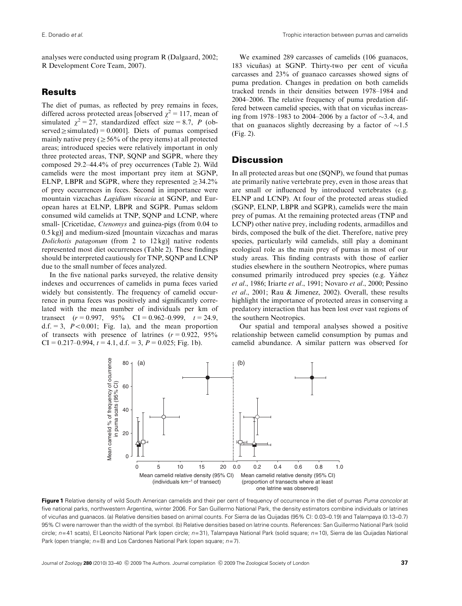analyses were conducted using program R (Dalgaard, 2002; R Development Core Team, 2007).

# Results

The diet of pumas, as reflected by prey remains in feces, differed across protected areas [observed  $\chi^2 = 117$ , mean of simulated  $\chi^2 = 27$ , standardized effect size = 8.7, P (observed  $\ge$  simulated) = 0.0001]. Diets of pumas comprised mainly native prey ( $\geq$  56% of the prey items) at all protected areas; introduced species were relatively important in only three protected areas, TNP, SQNP and SGPR, where they composed 29.2–44.4% of prey occurrences (Table 2). Wild camelids were the most important prey item at SGNP, ELNP, LBPR and SGPR, where they represented  $\geq 34.2\%$ of prey occurrences in feces. Second in importance were mountain vizcachas Lagidium viscacia at SGNP, and European hares at ELNP, LBPR and SGPR. Pumas seldom consumed wild camelids at TNP, SQNP and LCNP, where small- [Cricetidae, *Ctenomys* and guinea-pigs (from 0.04 to 0.5 kg)] and medium-sized [mountain vizcachas and maras Dolichotis patagonum (from 2 to 12 kg)] native rodents represented most diet occurrences (Table 2). These findings should be interpreted cautiously for TNP, SQNP and LCNP due to the small number of feces analyzed.

In the five national parks surveyed, the relative density indexes and occurrences of camelids in puma feces varied widely but consistently. The frequency of camelid occurrence in puma feces was positively and significantly correlated with the mean number of individuals per km of transect  $(r = 0.997, 95\% \text{ CI} = 0.962{\text -}0.999, t = 24.9,$ d.f.  $= 3$ ,  $P < 0.001$ ; Fig. 1a), and the mean proportion of transects with presence of latrines  $(r = 0.922, 95\%)$  $CI = 0.217-0.994$ ,  $t = 4.1$ , d.f. = 3,  $P = 0.025$ ; Fig. 1b).

We examined 289 carcasses of camelids (106 guanacos, 183 vicuñas) at SGNP. Thirty-two per cent of vicuña carcasses and 23% of guanaco carcasses showed signs of puma predation. Changes in predation on both camelids tracked trends in their densities between 1978–1984 and 2004–2006. The relative frequency of puma predation differed between camelid species, with that on vicuñas increasing from 1978–1983 to 2004–2006 by a factor of  $\sim$ 3.4, and that on guanacos slightly decreasing by a factor of  $\sim$ 1.5 (Fig. 2).

## **Discussion**

In all protected areas but one (SQNP), we found that pumas ate primarily native vertebrate prey, even in those areas that are small or influenced by introduced vertebrates (e.g. ELNP and LCNP). At four of the protected areas studied (SGNP, ELNP, LBPR and SGPR), camelids were the main prey of pumas. At the remaining protected areas (TNP and LCNP) other native prey, including rodents, armadillos and birds, composed the bulk of the diet. Therefore, native prey species, particularly wild camelids, still play a dominant ecological role as the main prey of pumas in most of our study areas. This finding contrasts with those of earlier studies elsewhere in the southern Neotropics, where pumas consumed primarily introduced prey species (e.g. Yáñez et al., 1986; Iriarte et al., 1991; Novaro et al., 2000; Pessino et al., 2001; Rau & Jimenez, 2002). Overall, these results highlight the importance of protected areas in conserving a predatory interaction that has been lost over vast regions of the southern Neotropics.

Our spatial and temporal analyses showed a positive relationship between camelid consumption by pumas and camelid abundance. A similar pattern was observed for



Figure 1 Relative density of wild South American camelids and their per cent of frequency of occurrence in the diet of pumas Puma concolor at five national parks, northwestern Argentina, winter 2006. For San Guillermo National Park, the density estimators combine individuals or latrines of vicuñas and guanacos. (a) Relative densities based on animal counts. For Sierra de las Quijadas (95% CI: 0.03-0.19) and Talampaya (0.13-0.7) 95% CI were narrower than the width of the symbol. (b) Relative densities based on latrine counts. References: San Guillermo National Park (solid circle;  $n=41$  scats), El Leoncito National Park (open circle;  $n=31$ ), Talampaya National Park (solid square;  $n=10$ ), Sierra de las Quijadas National Park (open triangle;  $n=8$ ) and Los Cardones National Park (open square;  $n=7$ ).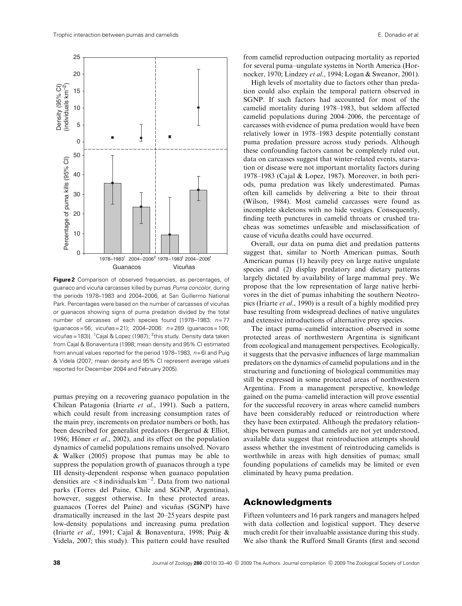

**Figure 2** Comparison of observed frequencies, as percentages, of guanaco and vicuña carcasses killed by pumas Puma concolor, during the periods 1978–1983 and 2004–2006, at San Guillermo National Park. Percentages were based on the number of carcasses of vicuñas or guanacos showing signs of puma predation divided by the total number of carcasses of each species found [1978–1983:  $n=77$  $($ quanacos = 56; vicuñas = 21); 2004–2006:  $n=289$  (quanacos = 106; vicuñas=183)]. <sup>1</sup>Cajal & Lopez (1987); <sup>2</sup>this study. Density data taken from Cajal & Bonaventura (1998; mean density and 95% CI estimated from annual values reported for the period 1978–1983,  $n=6$ ) and Puig & Videla (2007; mean density and 95% CI represent average values reported for December 2004 and February 2005).

pumas preying on a recovering guanaco population in the Chilean Patagonia (Iriarte et al., 1991). Such a pattern, which could result from increasing consumption rates of the main prey, increments on predator numbers or both, has been described for generalist predators (Bergerud & Elliot, 1986; Höner *et al.*, 2002), and its effect on the population dynamics of camelid populations remains unsolved. Novaro & Walker (2005) propose that pumas may be able to suppress the population growth of guanacos through a type III density-dependent response when guanaco population densities are  $\langle 8 \rangle$  individuals km<sup>-2</sup>. Data from two national parks (Torres del Paine, Chile and SGNP, Argentina), however, suggest otherwise. In these protected areas, guanacos (Torres del Paine) and vicuñas (SGNP) have dramatically increased in the last 20–25 years despite past low-density populations and increasing puma predation (Iriarte et al., 1991; Cajal & Bonaventura, 1998; Puig & Videla, 2007; this study). This pattern could have resulted

from camelid reproduction outpacing mortality as reported for several puma–ungulate systems in North America (Hornocker, 1970; Lindzey et al., 1994; Logan & Sweanor, 2001).

High levels of mortality due to factors other than predation could also explain the temporal pattern observed in SGNP. If such factors had accounted for most of the camelid mortality during 1978–1983, but seldom affected camelid populations during 2004–2006, the percentage of carcasses with evidence of puma predation would have been relatively lower in 1978–1983 despite potentially constant puma predation pressure across study periods. Although these confounding factors cannot be completely ruled out, data on carcasses suggest that winter-related events, starvation or disease were not important mortality factors during 1978–1983 (Cajal & Lopez, 1987). Moreover, in both periods, puma predation was likely underestimated. Pumas often kill camelids by delivering a bite to their throat (Wilson, 1984). Most camelid carcasses were found as incomplete skeletons with no hide vestiges. Consequently, finding teeth punctures in camelid throats or crushed tracheas was sometimes unfeasible and misclassification of cause of vicuña deaths could have occurred.

Overall, our data on puma diet and predation patterns suggest that, similar to North American pumas, South American pumas (1) heavily prey on large native ungulate species and (2) display predatory and dietary patterns largely dictated by availability of large mammal prey. We propose that the low representation of large native herbivores in the diet of pumas inhabiting the southern Neotropics (Iriarte et al., 1990) is a result of a highly modified prey base resulting from widespread declines of native ungulates and extensive introductions of alternative prey species.

The intact puma–camelid interaction observed in some protected areas of northwestern Argentina is significant from ecological and management perspectives. Ecologically, it suggests that the pervasive influences of large mammalian predators on the dynamics of camelid populations and in the structuring and functioning of biological communities may still be expressed in some protected areas of northwestern Argentina. From a management perspective, knowledge gained on the puma–camelid interaction will prove essential for the successful recovery in areas where camelid numbers have been considerably reduced or reintroduction where they have been extirpated. Although the predatory relationships between pumas and camelids are not yet understood, available data suggest that reintroduction attempts should assess whether the investment of reintroducing camelids is worthwhile in areas with high densities of pumas; small founding populations of camelids may be limited or even eliminated by heavy puma predation.

#### Acknowledgments

Fifteen volunteers and 16 park rangers and managers helped with data collection and logistical support. They deserve much credit for their invaluable assistance during this study. We also thank the Rufford Small Grants (first and second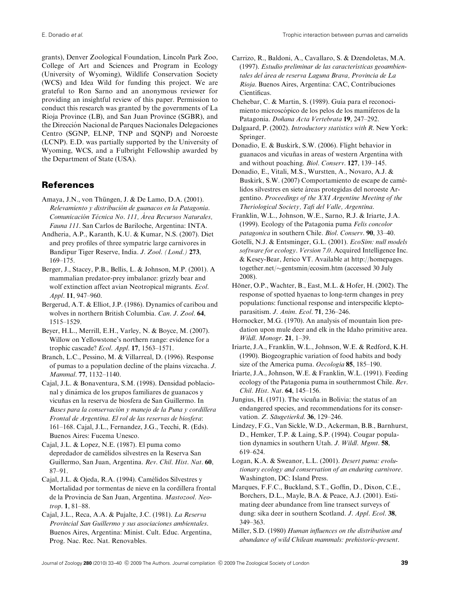grants), Denver Zoological Foundation, Lincoln Park Zoo, College of Art and Sciences and Program in Ecology (University of Wyoming), Wildlife Conservation Society (WCS) and Idea Wild for funding this project. We are grateful to Ron Sarno and an anonymous reviewer for providing an insightful review of this paper. Permission to conduct this research was granted by the governments of La Rioja Province (LB), and San Juan Province (SGBR), and the Direccion Nacional de Parques Nacionales Delegaciones ´ Centro (SGNP, ELNP, TNP and SQNP) and Noroeste (LCNP). E.D. was partially supported by the University of Wyoming, WCS, and a Fulbright Fellowship awarded by the Department of State (USA).

# References

- Amaya, J.N., von Thüngen, J. & De Lamo, D.A. (2001). Relevamiento y distribución de guanacos en la Patagonia. Comunicación Técnica No. 111, Área Recursos Naturales, Fauna 111. San Carlos de Bariloche, Argentina: INTA.
- Andheria, A.P., Karanth, K.U. & Kumar, N.S. (2007). Diet and prey profiles of three sympatric large carnivores in Bandipur Tiger Reserve, India. J. Zool. (Lond.) 273, 169–175.
- Berger, J., Stacey, P.B., Bellis, L. & Johnson, M.P. (2001). A mammalian predator-prey imbalance: grizzly bear and wolf extinction affect avian Neotropical migrants. Ecol. Appl. 11, 947–960.
- Bergerud, A.T. & Elliot, J.P. (1986). Dynamics of caribou and wolves in northern British Columbia. Can. J. Zool. 64, 1515–1529.
- Beyer, H.L., Merrill, E.H., Varley, N. & Boyce, M. (2007). Willow on Yellowstone's northern range: evidence for a trophic cascade? Ecol. Appl. 17, 1563–1571.
- Branch, L.C., Pessino, M. & Villarreal, D. (1996). Response of pumas to a population decline of the plains vizcacha. J. Mammal. 77, 1132–1140.
- Cajal, J.L. & Bonaventura, S.M. (1998). Densidad poblacional y dinamica de los grupos familiares de guanacos y ´ vicuñas en la reserva de biosfera de San Guillermo. In Bases para la conservación y manejo de la Puna y cordillera Frontal de Argentina. El rol de las reservas de biosfera: 161–168. Cajal, J.L., Fernandez, J.G., Tecchi, R. (Eds). Buenos Aires: Fucema Unesco.
- Cajal, J.L. & Lopez, N.E. (1987). El puma como depredador de camélidos silvestres en la Reserva San Guillermo, San Juan, Argentina. Rev. Chil. Hist. Nat. 60, 87–91.
- Cajal, J.L. & Ojeda, R.A. (1994). Camélidos Silvestres y Mortalidad por tormentas de nieve en la cordillera frontal de la Provincia de San Juan, Argentina. Mastozool. Neotrop. 1, 81–88.
- Cajal, J.L., Reca, A.A. & Pujalte, J.C. (1981). La Reserva Provincial San Guillermo y sus asociaciones ambientales. Buenos Aires, Argentina: Minist. Cult. Educ. Argentina, Prog. Nac. Rec. Nat. Renovables.
- Carrizo, R., Baldoni, A., Cavallaro, S. & Dzendoletas, M.A. (1997). Estudio preliminar de las características geoambientales del área de reserva Laguna Brava, Provincia de La Rioja. Buenos Aires, Argentina: CAC, Contribuciones Científicas.
- Chehebar, C. & Martin, S. (1989). Guía para el reconocimiento microscópico de los pelos de los mamíferos de la Patagonia. Doñana Acta Vertebrata 19, 247-292.
- Dalgaard, P. (2002). Introductory statistics with R. New York: Springer.
- Donadio, E. & Buskirk, S.W. (2006). Flight behavior in guanacos and vicuñas in areas of western Argentina with and without poaching. Biol. Conserv. 127, 139–145.
- Donadio, E., Vitali, M.S., Wurstten, A., Novaro, A.J. & Buskirk, S.W. (2007) Comportamiento de escape de camélidos silvestres en siete áreas protegidas del noroeste Argentino. Proceedings of the XXI Argentine Meeting of the Theriological Society, Tafi del Valle, Argentina.
- Franklin, W.L., Johnson, W.E., Sarno, R.J. & Iriarte, J.A. (1999). Ecology of the Patagonia puma Felis concolor patagonica in southern Chile. Biol. Conserv. 90, 33–40.
- Gotelli, N.J. & Entsminger, G.L. (2001). EcoSim: null models software for ecology. Version 7.0. Acquired Intelligence Inc. & Kesey-Bear, Jerico VT. Available at [http://homepages.](http://homepages.together.net/~gentsmin/ecosim.htm) [together.net/](http://homepages.together.net/~gentsmin/ecosim.htm)~[gentsmin/ecosim.htm \(accessed 30 July](http://homepages.together.net/~gentsmin/ecosim.htm) [2008\).](http://homepages.together.net/~gentsmin/ecosim.htm)
- Höner, O.P., Wachter, B., East, M.L. & Hofer, H. (2002). The response of spotted hyaenas to long-term changes in prey populations: functional response and interspecific kleptoparasitism. J. Anim. Ecol. 71, 236–246.
- Hornocker, M.G. (1970). An analysis of mountain lion predation upon mule deer and elk in the Idaho primitive area. Wildl. Monogr. 21, 1–39.
- Iriarte, J.A., Franklin, W.L., Johnson, W.E. & Redford, K.H. (1990). Biogeographic variation of food habits and body size of the America puma. Oecologia 85, 185-190.
- Iriarte, J.A., Johnson, W.E. & Franklin, W.L. (1991). Feeding ecology of the Patagonia puma in southernmost Chile. Rev. Chil. Hist. Nat. 64, 145–156.
- Jungius, H. (1971). The vicuña in Bolivia: the status of an endangered species, and recommendations for its conservation. Z. Säugetierkd. 36, 129–246.
- Lindzey, F.G., Van Sickle, W.D., Ackerman, B.B., Barnhurst, D., Hemker, T.P. & Laing, S.P. (1994). Cougar population dynamics in southern Utah. J. Wildl. Mgmt. 58, 619–624.
- Logan, K.A. & Sweanor, L.L. (2001). Desert puma: evolutionary ecology and conservation of an enduring carnivore. Washington, DC: Island Press.
- Marques, F.F.C., Buckland, S.T., Goffin, D., Dixon, C.E., Borchers, D.L., Mayle, B.A. & Peace, A.J. (2001). Estimating deer abundance from line transect surveys of dung: sika deer in southern Scotland. J. Appl. Ecol. 38, 349–363.
- Miller, S.D. (1980) Human influences on the distribution and abundance of wild Chilean mammals: prehistoric-present.